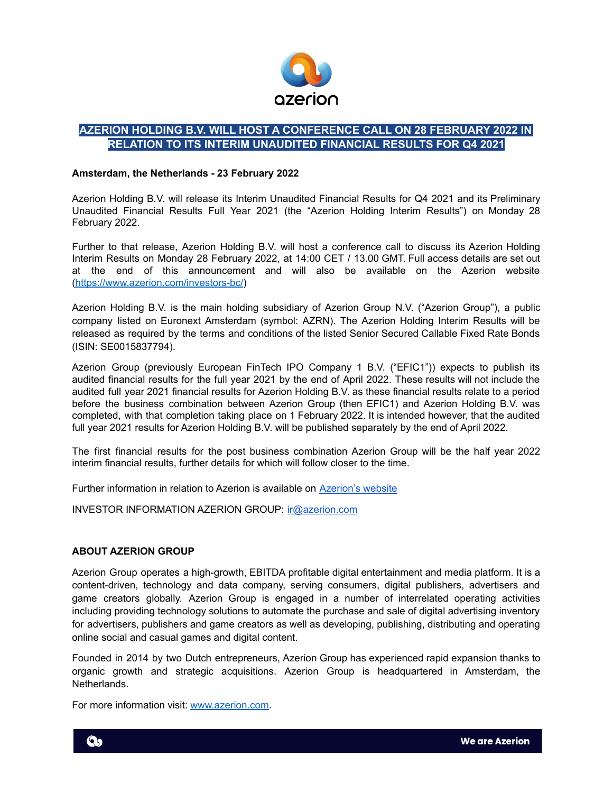

## **AZERION HOLDING B.V. WILL HOST A CONFERENCE CALL ON 28 FEBRUARY 2022 IN RELATION TO ITS INTERIM UNAUDITED FINANCIAL RESULTS FOR Q4 2021**

## **Amsterdam, the Netherlands - 23 February 2022**

Azerion Holding B.V. will release its Interim Unaudited Financial Results for Q4 2021 and its Preliminary Unaudited Financial Results Full Year 2021 (the "Azerion Holding Interim Results") on Monday 28 February 2022.

Further to that release, Azerion Holding B.V. will host a conference call to discuss its Azerion Holding Interim Results on Monday 28 February 2022, at 14:00 CET / 13.00 GMT. Full access details are set out at the end of this announcement and will also be available on the Azerion website [\(https://www.azerion.com/investors-bc/](https://www.azerion.com/investors-bc/))

Azerion Holding B.V. is the main holding subsidiary of Azerion Group N.V. ("Azerion Group"), a public company listed on Euronext Amsterdam (symbol: AZRN). The Azerion Holding Interim Results will be released as required by the terms and conditions of the listed Senior Secured Callable Fixed Rate Bonds (ISIN: SE0015837794).

Azerion Group (previously European FinTech IPO Company 1 B.V. ("EFIC1")) expects to publish its audited financial results for the full year 2021 by the end of April 2022. These results will not include the audited full year 2021 financial results for Azerion Holding B.V. as these financial results relate to a period before the business combination between Azerion Group (then EFIC1) and Azerion Holding B.V. was completed, with that completion taking place on 1 February 2022. It is intended however, that the audited full year 2021 results for Azerion Holding B.V. will be published separately by the end of April 2022.

The first financial results for the post business combination Azerion Group will be the half year 2022 interim financial results, further details for which will follow closer to the time.

Further information in relation to Azerion is available on [Azerion's](https://www.azerion.com/investors-bc/) website

INVESTOR INFORMATION AZERION GROUP: [ir@azerion.com](mailto:ir@azerion.com)

## **ABOUT AZERION GROUP**

Azerion Group operates a high-growth, EBITDA profitable digital entertainment and media platform. It is a content-driven, technology and data company, serving consumers, digital publishers, advertisers and game creators globally. Azerion Group is engaged in a number of interrelated operating activities including providing technology solutions to automate the purchase and sale of digital advertising inventory for advertisers, publishers and game creators as well as developing, publishing, distributing and operating online social and casual games and digital content.

Founded in 2014 by two Dutch entrepreneurs, Azerion Group has experienced rapid expansion thanks to organic growth and strategic acquisitions. Azerion Group is headquartered in Amsterdam, the Netherlands.

For more information visit: [www.azerion.com.](http://www.azerion.com)